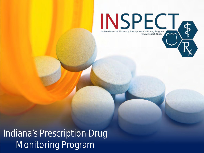## **INSPECT** Indiana Board of Pharmacy Prescription Monitoring Program www.inspect.IN.gov

Indiana's Prescription Drug Monitoring Program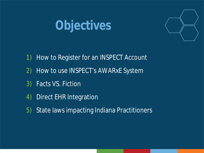# **Objectives**



- 1) How to Register for an INSPECT Account
- 2) How to use INSPECT's AWARxE System
- 3) Facts VS. Fiction
- 4) Direct EHR Integration
- 5) State laws impacting Indiana Practitioners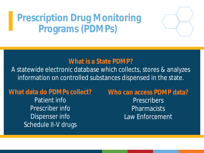## **Prescription Drug Monitoring Programs (PDMPs)**



### **What is a State PDMP?**

A statewide electronic database which collects, stores & analyzes information on controlled substances dispensed in the state.

## **What data do PDMPs collect?**

Patient info Prescriber info Dispenser info Schedule II-V drugs

### **Who can access PDMP data?**

**Prescribers Pharmacists** Law Enforcement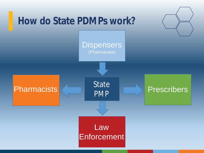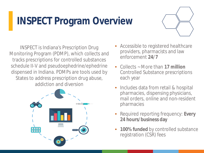# **INSPECT Program Overview**



INSPECT is Indiana's Prescription Drug Monitoring Program (PDMP), which collects and tracks prescriptions for controlled substances schedule II-V and pseudoephedrine/ephedrine dispensed in Indiana. PDMPs are tools used by States to address prescription drug abuse, addiction and diversion



- Accessible to registered healthcare providers, pharmacists and law enforcement **24/7**
- Collects ~ More than **17 million**  Controlled Substance prescriptions each year
- Includes data from retail & hospital pharmacies, dispensing physicians, mail orders, online and non-resident pharmacies
- Required reporting frequency: **Every 24 hours/business day**
- **100% funded** by controlled substance registration (CSR) fees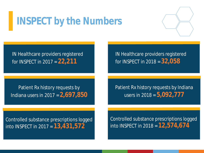# **INSPECT by the Numbers**



IN Healthcare providers registered for INSPECT in 2017 = **22,211**

Patient Rx history requests by Indiana users in 2017 = **2,697,850**  IN Healthcare providers registered for INSPECT in 2018 = **32,058**

Patient Rx history requests by Indiana users in 2018 = **5,092,777**

Controlled substance prescriptions logged into INSPECT in 2017 = **13,431,572**

Controlled substance prescriptions logged into INSPECT in 2018 = **12,574,674**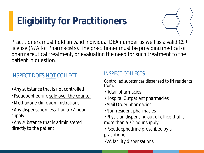# **Eligibility for Practitioners**



Practitioners must hold an valid individual DEA number as well as a valid CSR license (N/A for Pharmacists). The practitioner must be providing medical or pharmaceutical treatment, or evaluating the need for such treatment to the patient in question.

## INSPECT DOES NOT COLLECT

- •Any substance that is not controlled
- •Pseudoephedrine sold over the counter
- •Methadone clinic administrations
- •Any dispensation less than a 72-hour supply

•Any substance that is *administered* directly to the patient

### INSPECT COLLECTS

Controlled substances dispensed to IN residents from:

- •Retail pharmacies
- •Hospital Outpatient pharmacies
- •Mail Order pharmacies
- •Non-resident pharmacies
- •Physician dispensing out of office that is more than a 72-hour supply
- •Pseudoephedrine prescribed by a practitioner
- •VA facility dispensations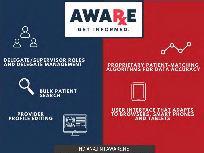



## DELEGATE/SUPERVISOR ROLES<br>AND DELEGATE MANAGEMENT



## **PROVIDER<br>PROFILE EDITING**





## **PROPRIETARY PATIENT-MATCHING<br>ALGORITHMS FOR DATA ACCURACY**



# USER INTERFACE THAT ADAPTS<br>TO BROWSERS, SMART PHONES

INDIANA.PMPAWARE.NET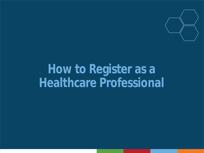

# **How to Register as a Healthcare Professional**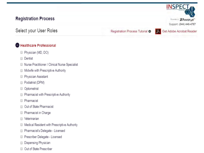### **Registration Process**

Select your User Roles

Registration Process Tutorial O

## man : FAwarxe Support. (844) 446-4767

Get Adobe Acrobat Reader

**INSPEC** 

### Healthcare Professional

- Physician (MD, DO)
- **Dentist**
- Nurse Practitioner / Clinical Nurse Specialist □
- Midwife with Prescriptive Authority □
- Physician Assistant 0
- Podiatrist (DPM)
- Optometrist 0
- Pharmacist with Prescriptive Authority
- **Pharmacist**
- Out of State Pharmacist □
- Pharmacist in Charge
- Veterinarian □
- Medical Resident with Prescriptive Authority 0
- Pharmacist's Delegate Licensed
- Prescriber Delegate Licensed
- Dispensing Physician □
- Out of State Prescriber □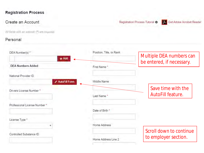### **Registration Process**

### Create an Account

All fields with art astensic (\*) are required.

### Personal

| DEA Number(s)*                               | Position, Title, or Rank | Multiple DEA numbers can                        |
|----------------------------------------------|--------------------------|-------------------------------------------------|
| + Add<br><b>DEA Numbers Added</b>            | First Name*              | be entered, if necessary.                       |
| National Provider ID<br><b>AutoFill Form</b> | Middle Name              |                                                 |
| Drivers License Number*                      | Last Name*               | Save time with the<br>AutoFill feature.         |
| Professional License Number*                 | Date of Birth *          |                                                 |
| License Type *<br>٠                          | Home Address             |                                                 |
| Controlled Substance ID                      | Home Address Line 2      | Scroll down to continue<br>to employer section. |

Registration Process Tutorial O

**Cet Adobe Acrobat Reader**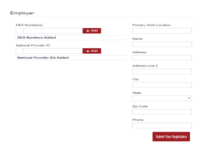### Employer

| Primary Work Location |
|-----------------------|
|                       |
| Name                  |
|                       |
| Address               |
|                       |
|                       |

#### Address Line 2

City

State

 $\pmb{\mathrm{v}}$ 

Zip Code

Phone

**Submit Your Registration**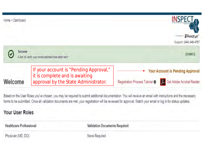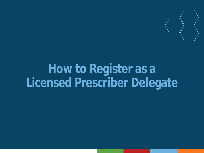

# **How to Register as a Licensed Prescriber Delegate**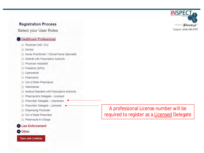### **Registration Process**

Select your User Roles

#### **Healthcare Professional**

- Physician (MD, DO)
- **Dentist**
- Nurse Practitioner / Clinical Nurse Specialist
- Midwife with Prescriptive Authority
- Physician Assistant
- Podiatrist (DPM)
- Optometrist
- **Pharmacist**
- Out of State Pharmacist
- Veterinarian
- Medical Resident with Prescriptive Authority
- Pharmacist's Delegate Licensed
- Prescriber Delegate Unlicensed
- Prescriber Delegate Licensed
- Dispensing Physician
- Out of State Prescriber
- Pharmacist in Charge

### Law Enforcement

**O** Other

**Save and Continue** 

A professional License number will be required to register as a Licensed Delegate

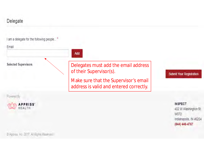### Delegate

I am a delegate for the following people... \* Email Add **Selected Supervisors** Delegates must add the email address of their Supervisor(s). **Submit Your Registration** Make sure that the Supervisor's email address is valid and entered correctly.Powered By **INSPECT PPRISS'** 402 W Washington St. W072 Indianapolis, IN 46204 (844) 446-4767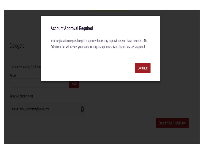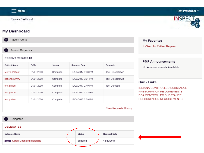### My Dashboard

Patient Alerts

Recent Requests

#### RECENT REQUESTS

| <b>Patient Name</b>   | DOB.       | <b>Status</b> | Request Date       | Delegate             |
|-----------------------|------------|---------------|--------------------|----------------------|
| <b>Melvin Patient</b> | 01/01/2000 | Complete      | 12/29/2017 3:06 PM | Test Delegatetwo     |
| patient dummy         | 01/01/2000 | Complete      | 12/29/2017 3:01 PM | Test Delegatetwo     |
| test patient          | 01/01/2000 | Complete      | 12/29/2017 2:49 PM | <b>Test Delegate</b> |
| test patient          | 01/01/2000 | Complete      | 12/06/2017 3:02 PM |                      |
| test patient          | 01/01/2000 | Complete      | 12/04/2017 3:39 PM |                      |
|                       |            |               |                    |                      |

View Requests History

#### My Favorites

**RxSearch - Patient Request** 

#### **PMP Announcements**

No Announcements Available.

#### **Quick Links**

INDIANA CONTROLLED SUBSTANCE PRESCRIPTION REQUIREMENTS DEA CONTROLLED SUBSTANCE PRESCRIPTION REQUIREMENTS







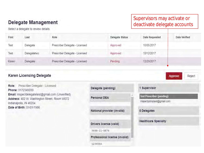### Delegate Management

Supervisors may activate or deactivate delegate accounts

Select a delegate to review details.

| First | Last                            | Role                           | Delegate Status | Date Requested | Date Verified     |
|-------|---------------------------------|--------------------------------|-----------------|----------------|-------------------|
| Test  | Delegate                        | Prescriber Delegate - Licensed | Approved        | 10/05/2017     |                   |
| Test  | Delegatetwo                     | Prescriber Delegate - Licensed | Approved        | 10/12/2017     |                   |
| Karen | Delegate                        | Prescriber Delegate - Licensed | Pending         | 12/29/2017     |                   |
|       | <b>Karen Licensing Delegate</b> |                                |                 |                | Reject<br>Approve |
| Role: | Prescriber Delenate - Licensed  |                                |                 |                |                   |

Liescing neight - riceipen Phone: 3172348039 Email: inspectdelegatetest@gmail.com (Unverified) Address: 402 W. Washington Street, Room W072 Indianapolis, IN 46204 Date of Birth: 01/01/1986

| Delegate (pending)             | 1 Supervisor                                                  |
|--------------------------------|---------------------------------------------------------------|
| Personal DEA                   | <b>Test Prescriber (pending)</b><br>inspectpdmptest@gmail.com |
| National provider (invalid)    | 0 Delegates                                                   |
| Drivers license (valid)        | <b>Healthcare Specialty</b>                                   |
| 3600-11-9876                   |                                                               |
| Professional license (invalid) |                                                               |
| 123456A                        |                                                               |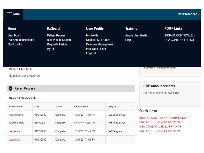| Menu                                                        |             |                                                                                 |                                        |                                                                                    |                 |                                                       | Test Prescriber *                                    |
|-------------------------------------------------------------|-------------|---------------------------------------------------------------------------------|----------------------------------------|------------------------------------------------------------------------------------|-----------------|-------------------------------------------------------|------------------------------------------------------|
| Home                                                        |             | <b>RxSearch</b>                                                                 | <b>User Profile</b>                    |                                                                                    | <b>Training</b> |                                                       | <b>PDMP Links</b>                                    |
| Dashboard<br><b>PMP Announcements</b><br><b>Quick Links</b> | <b>MyRx</b> | <b>Patient Request</b><br><b>Bulk Patient Search</b><br><b>Requests History</b> | My Profile<br>Log Out                  | <b>Default PMPi States</b><br><b>Help</b><br>Delegate Management<br>Password Reset |                 | <b>Aware User Guide</b>                               | <b>INDIANA CONTROLLE</b><br><b>DEA CONTROLLED SU</b> |
| <b>PATIENT ALERTS</b><br>No patient alerts received.        |             |                                                                                 |                                        |                                                                                    |                 | <b>RxSearch - Patient Request</b>                     |                                                      |
| Recent Requests                                             |             |                                                                                 |                                        |                                                                                    |                 | <b>PMP Announcements</b>                              |                                                      |
| <b>RECENT REQUESTS</b>                                      |             |                                                                                 |                                        |                                                                                    |                 | No Announcements Available.                           |                                                      |
| <b>Patient Name</b>                                         | DOB         | <b>Status</b>                                                                   | Request Date                           | Delegate                                                                           |                 |                                                       |                                                      |
| <b>Melvin Patient</b>                                       | 01/01/2000  | Complete                                                                        | 12/29/2017 3:06 PM                     | Test Delegatetwo                                                                   |                 | <b>Quick Links</b>                                    | INDIANA CONTROLLED SUBSTANCE                         |
| patient dummy                                               | 01/01/2000  | Complete                                                                        | 12/29/2017 3:01 PM<br>Test Delegatetwo |                                                                                    |                 | PRESCRIPTION REQUIREMENTS<br>DEA CONTROLLED SUBSTANCE |                                                      |
| test patient                                                | 01/01/2000  | 12/29/2017 2:49 PM<br>Test Delegate<br>Complete                                 |                                        |                                                                                    |                 | PRESCRIPTION REQUIREMENTS                             |                                                      |
| test patient                                                | 01/01/2000  | Complete                                                                        | 12/06/2017 3:02 PM                     |                                                                                    |                 |                                                       |                                                      |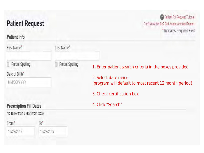| <b>Patient Request</b>                           |            |                        | (2) Patient Rx Request Tutorial<br>Can't view the file? Get Adobe Acrobat Reader                                                                                       |
|--------------------------------------------------|------------|------------------------|------------------------------------------------------------------------------------------------------------------------------------------------------------------------|
| Patient Info                                     |            |                        | * Indicates Required Field                                                                                                                                             |
| First Name*                                      |            | Last Name <sup>*</sup> |                                                                                                                                                                        |
| Partial Spelling<br>Date of Birth*<br>MM/DD/YYYY |            | Partial Spelling       | 1. Enter patient search criteria in the boxes provided<br>2. Select date range-<br>(program will default to most recent 12 month period)<br>3. Check certification box |
| <b>Prescription Fill Dates</b>                   |            |                        | 4. Click "Search"                                                                                                                                                      |
| No earlier than 3 years from today               |            |                        |                                                                                                                                                                        |
| From*                                            | $To^*$     |                        |                                                                                                                                                                        |
| 12/29/2016                                       | 12/29/2017 |                        |                                                                                                                                                                        |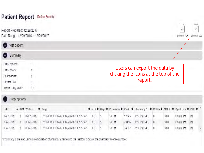## Patient Report Refine Search

Report Prepared: 12/29/2017 Date Range: 12/29/2016 - 12/29/2017

| θ<br>test patient |     |                                      |
|-------------------|-----|--------------------------------------|
| Summary<br>е      |     |                                      |
| Prescriptions:    |     |                                      |
| Prescribers:      |     | Users can export the data by         |
| Pharmacies:       |     | clicking the icons at the top of the |
| Private Pay:      |     | report.                              |
| Active Daily MME: | 0.0 |                                      |

Download CS\

### Prescriptions

| Filled     |  | $\div$ ID $\div$ Written $\div$ Drug |                                                  |  |        | ≑ QTY ≑ Days ≑ Prescriber ≑ Rx # ≑ Pharmacy * ÷ Refills ≑ MME/D ≑ Pymt Type ≑ PMP ≑ |  |      |             |  |
|------------|--|--------------------------------------|--------------------------------------------------|--|--------|-------------------------------------------------------------------------------------|--|------|-------------|--|
| 09/01/2017 |  |                                      | 09/01/2017 HYDROCODON-ACETAMINOPHEN 5-325 30.0 5 |  | Te Pre | 12345 XYZ P (6543) 0                                                                |  | 30.0 | Comm Ins IN |  |
| 08/27/2017 |  |                                      | 08/27/2017 HYDROCODON-ACETAMINOPHEN 5-325 30.0 5 |  | Te Pre | 23456 XYZ P (6543)                                                                  |  | 30.0 | Comm Ins IN |  |
| 08/22/2017 |  |                                      | 08/22/2017 HYDROCODON-ACETAMINOPHEN 5-325 30.0 5 |  | Te Pre | 34567 ZYX P (6543)                                                                  |  | 30.0 | Comm Ins IN |  |

\*Pharmacy is created using a combination of pharmacy name and the last four digits of the pharmacy license number.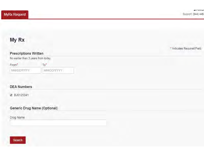| My Rx |  |
|-------|--|
|-------|--|

### **Prescriptions Written**

No earlier than 3 years from today

| From <sup>*</sup> |                  |
|-------------------|------------------|
| <b>MM/DD/YYYY</b> | <b>MM/DDAYYY</b> |

\* Indicates Required Field

#### **DEA Numbers**

■ BJ6125341

### Generic Drug Name (Optional)

Drug Name

Search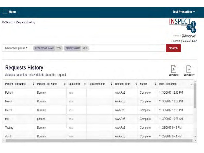| $=$ Menu                    |                                                       | <b>Test Prescriber +</b>                                   |
|-----------------------------|-------------------------------------------------------|------------------------------------------------------------|
| RxSearch > Requests History |                                                       | <b>INSPECT</b>                                             |
| Advanced Options            | PATIENT NAME YES<br>Yes<br>REQUESTOR NAME             | ROWERED OF STAWARY e"<br>Support: (844) 446-4767<br>Search |
|                             |                                                       |                                                            |
| <b>Requests History</b>     |                                                       | τsν                                                        |
|                             | Select a patient to review details about the request. | Download CSV<br>Download PDF                               |

| <b>Patient First Name</b> | ÷ | Patient Last Name | ÷ | Requestor<br>÷ | <b>Requested For</b> | ÷ | ÷<br><b>Request Type</b> | ÷<br>Status | Date Requested      | ÷       |
|---------------------------|---|-------------------|---|----------------|----------------------|---|--------------------------|-------------|---------------------|---------|
| Patient                   |   | Dummy             |   | <b>YOU</b>     |                      |   | AWARXE                   | Complete    | 11/30/2017 12:10 PM |         |
| Melvin                    |   | Dummy             |   | Year           |                      |   | AWARXE                   | Complete    | 11/30/2017 12:09 PM |         |
| Melvin                    |   | Dummy             |   | You            |                      |   | AWARxE                   | Complete    | 11/30/2017 12:09 PM |         |
| test                      |   | patient           |   | You            |                      |   | AWARxE                   | Complete    | 11/30/2017 10:26 AM |         |
| Testing                   |   | Dummy             |   | Vou            |                      |   | AWARXE                   | Complete    | 11/29/2017 9:46 PM  |         |
| dumb                      |   | Dummy             |   | rou            |                      |   | AWARxE                   | Complete    | 11/29/2017 9:44 PM  | ×<br>F. |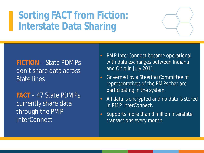# **Sorting FACT from Fiction: Interstate Data Sharing**



**FICTION** – State PDMPs don't share data across State lines

**FACT** – 47 State PDMPs currently share data through the PMP **InterConnect** 

- PMP InterConnect became operational with data exchanges between Indiana and Ohio in July 2011.
- Governed by a Steering Committee of representatives of the PMPs that are participating in the system.
- All data is encrypted and no data is stored in PMP InterConnect.
- Supports more than 8 million interstate transactions every month.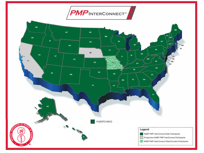

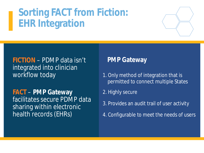# **Sorting FACT from Fiction: EHR Integration**



**FACT** – **PMP Gateway**  facilitates secure PDMP data sharing within electronic health records (EHRs)

## **PMP Gateway**

- 1. Only method of integration that is permitted to connect multiple States
- 2. Highly secure
- 3. Provides an audit trail of user activity
- 4. Configurable to meet the needs of users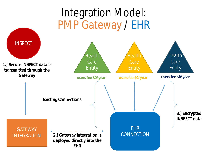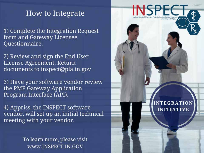## How to Integrate

1) Complete the Integration Request form and Gateway Licensee Questionnaire.

2) Review and sign the End User License Agreement. Return documents to inspect@pla.in.gov

3) Have your software vendor review the PMP Gateway Application Program Interface (API).

4) Appriss, the INSPECT software vendor, will set up an initial technical meeting with your vendor.

> To learn more, please visit www.INSPECT.IN.GOV

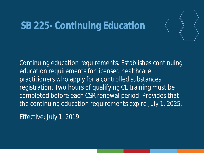## **SB 225- Continuing Education**



Continuing education requirements. Establishes continuing education requirements for licensed healthcare practitioners who apply for a controlled substances registration. Two hours of qualifying CE training must be completed before each CSR renewal period. Provides that the continuing education requirements expire July 1, 2025.

Effective: July 1, 2019.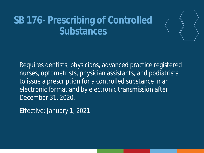## **SB 176- Prescribing of Controlled Substances**

Requires dentists, physicians, advanced practice registered nurses, optometrists, physician assistants, and podiatrists to issue a prescription for a controlled substance in an electronic format and by electronic transmission after December 31, 2020.

Effective: January 1, 2021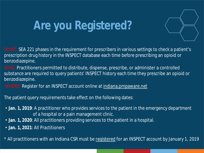# **Are you Registered?**



WHAT: SEA 221 phases in the requirement for prescribers in various settings to check a patient's prescription drug history in the INSPECT database each time before prescribing an opioid or benzodiazepine.

WHO: Practitioners permitted to distribute, dispense, prescribe, or administer a controlled substance are required to query patients' INSPECT history each time they prescribe an opioid or benzodiazepine.

WHERE: Register for an INSPECT account online at indiana.pmpaware.net

The patient query requirements take effect on the following dates:

- **Jan. 1, 2019**: A practitioner who provides services to the patient in the emergency department of a hospital or a pain management clinic.
- **Jan. 1, 2020**: All practitioners providing services to the patient in a hospital.
- **Jan. 1, 2021**: All Practitioners

\* All practitioners with an Indiana CSR must be registered for an INSPECT account by January 1, 2019